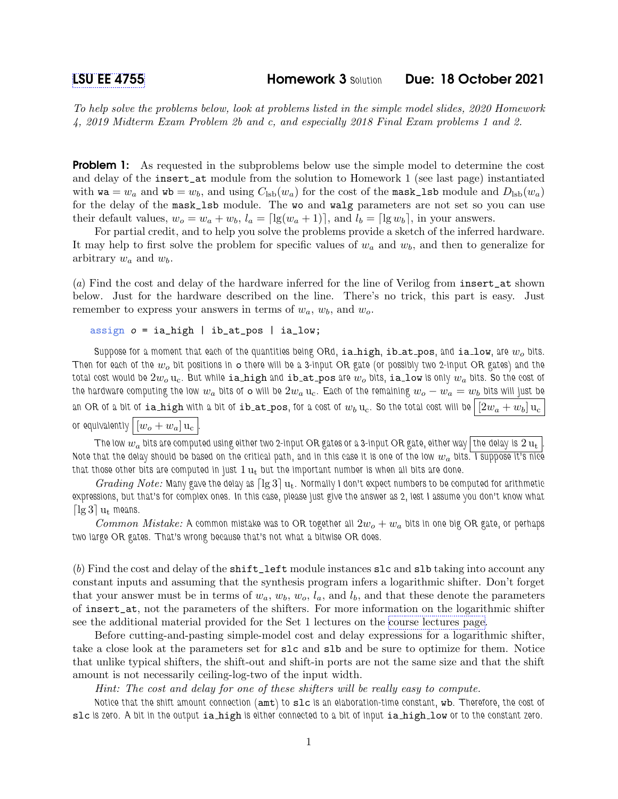To help solve the problems below, look at problems listed in the simple model slides, 2020 Homework 4, 2019 Midterm Exam Problem 2b and c, and especially 2018 Final Exam problems 1 and 2.

**Problem 1:** As requested in the subproblems below use the simple model to determine the cost and delay of the insert\_at module from the solution to Homework 1 (see last page) instantiated with  $\mathbf{wa} = w_a$  and  $\mathbf{wb} = w_b$ , and using  $C_{\text{lsb}}(w_a)$  for the cost of the mask\_1sb module and  $D_{\text{lsb}}(w_a)$ for the delay of the mask\_lsb module. The wo and walg parameters are not set so you can use their default values,  $w_o = w_a + w_b$ ,  $l_a = \lfloor \lg(w_a + 1) \rfloor$ , and  $l_b = \lfloor \lg w_b \rfloor$ , in your answers.

For partial credit, and to help you solve the problems provide a sketch of the inferred hardware. It may help to first solve the problem for specific values of  $w_a$  and  $w_b$ , and then to generalize for arbitrary  $w_a$  and  $w_b$ .

(a) Find the cost and delay of the hardware inferred for the line of Verilog from insert\_at shown below. Just for the hardware described on the line. There's no trick, this part is easy. Just remember to express your answers in terms of  $w_a$ ,  $w_b$ , and  $w_o$ .

```
assign o = ia\_high | ib_at_pos | ia_low;
```
Suppose for a moment that each of the quantities being ORd, ia high, ib at pos, and ia low, are  $w<sub>o</sub>$  bits. Then for each of the  $w_o$  bit positions in  $\circ$  there will be a 3-input OR gate (or possibly two 2-input OR gates) and the total cost would be  $2w_0$  u<sub>c</sub>. But while ia high and ib at pos are  $w_0$  bits, ia low is only  $w_a$  bits. So the cost of the hardware computing the low  $w_a$  bits of  $\circ$  will be  $2w_a$  u<sub>c</sub>. Each of the remaining  $w_o - w_a = w_b$  bits will just be an OR of a bit of ia high with a bit of ib at pos, for a cost of  $w_b$  u<sub>c</sub>. So the total cost will be  $[2w_a + w_b]$  u<sub>c</sub> or equivalently  $\left|[w_o + w_a]\right| \mathbf{u}_c$ 

The low  $w_a$  bits are computed using either two 2-input OR gates or a 3-input OR gate, either way the delay is  $2 u_t$ Note that the delay should be based on the critical path, and in this case it is one of the low  $w_a$  bits. I suppose it's nice that those other bits are computed in just  $1 u_t$  but the important number is when all bits are done.

Grading Note: Many gave the delay as  $\lceil\lg 3\rceil u_t$ . Normally I don't expect numbers to be computed for arithmetic expressions, but that's for complex ones. In this case, please just give the answer as 2, lest I assume you don't know what  $\lceil \lg 3 \rceil u_t$  means.

*Common Mistake:* A common mistake was to OR together all  $2w_o + w_a$  bits in one big OR gate, or perhaps two large OR gates. That's wrong because that's not what a bitwise OR does.

(b) Find the cost and delay of the shift\_left module instances slc and slb taking into account any constant inputs and assuming that the synthesis program infers a logarithmic shifter. Don't forget that your answer must be in terms of  $w_a, w_b, w_o, l_a$ , and  $l_b$ , and that these denote the parameters of insert\_at, not the parameters of the shifters. For more information on the logarithmic shifter see the additional material provided for the Set 1 lectures on the [course lectures page.](https://www.ece.lsu.edu/koppel/v/ln.html)

Before cutting-and-pasting simple-model cost and delay expressions for a logarithmic shifter, take a close look at the parameters set for slc and slb and be sure to optimize for them. Notice that unlike typical shifters, the shift-out and shift-in ports are not the same size and that the shift amount is not necessarily ceiling-log-two of the input width.

Hint: The cost and delay for one of these shifters will be really easy to compute.

Notice that the shift amount connection (amt) to slc is an elaboration-time constant, wb. Therefore, the cost of slc is zero. A bit in the output ia high is either connected to a bit of input ia high low or to the constant zero.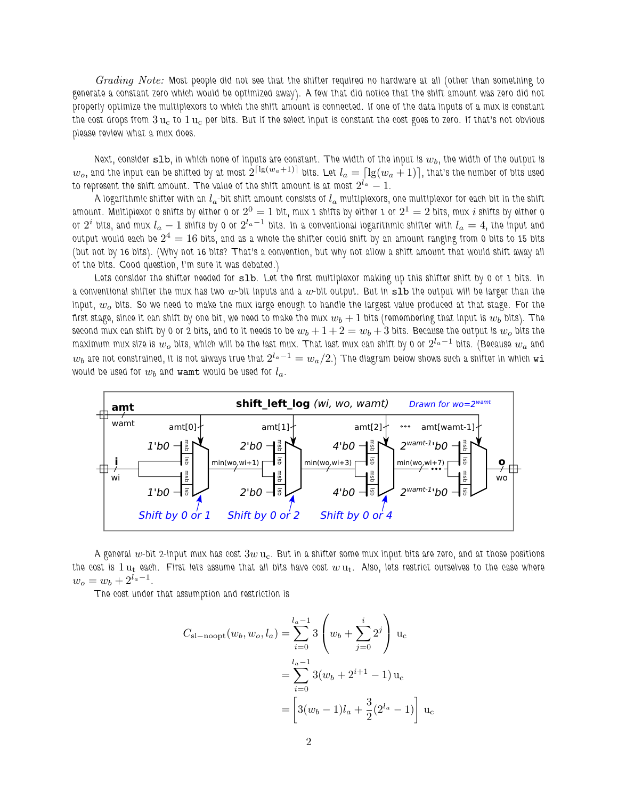Grading Note: Most people did not see that the shifter required no hardware at all (other than something to generate a constant zero which would be optimized away). A few that did notice that the shift amount was zero did not properly optimize the multiplexors to which the shift amount is connected. If one of the data inputs of a mux is constant the cost drops from  $3 u_c$  to  $1 u_c$  per bits. But if the select input is constant the cost goes to zero. If that's not obvious please review what a mux does.

Next, consider  $\texttt{slb}$ , in which none of inputs are constant. The width of the input is  $w_b$ , the width of the output is  $w_o$ , and the input can be shifted by at most  $2^{\lceil\lg(w_a+1)\rceil}$  bits. Let  $l_a=\lceil\lg(w_a+1)\rceil$ , that's the number of bits used to represent the shift amount. The value of the shift amount is at most  $2^{l_a}-1$ .

A logarithmic shifter with an  $l_a$ -bit shift amount consists of  $l_a$  multiplexors, one multiplexor for each bit in the shift amount. Multiplexor 0 shifts by either 0 or  $2^0=1$  bit, mux 1 shifts by either 1 or  $2^1=2$  bits, mux  $i$  shifts by either 0 or  $2^i$  bits, and mux  $l_a-1$  shifts by 0 or  $2^{l_a-1}$  bits. In a conventional logarithmic shifter with  $l_a=4$ , the input and output would each be  $2^4=16$  bits, and as a whole the shifter could shift by an amount ranging from 0 bits to 15 bits (but not by 16 bits). (Why not 16 bits? That's a convention, but why not allow a shift amount that would shift away all of the bits. Good question, I'm sure it was debated.)

Lets consider the shifter needed for slb. Let the first multiplexor making up this shifter shift by 0 or 1 bits. In a conventional shifter the mux has two  $w$ -bit inputs and a  $w$ -bit output. But in  $s1b$  the output will be larger than the input,  $w<sub>o</sub>$  bits. So we need to make the mux large enough to handle the largest value produced at that stage. For the first stage, since it can shift by one bit, we need to make the mux  $w_b + 1$  bits (remembering that input is  $w_b$  bits). The second mux can shift by 0 or 2 bits, and to it needs to be  $w_b + 1 + 2 = w_b + 3$  bits. Because the output is  $w_o$  bits the maximum mux size is  $w_o$  bits, which will be the last mux. That last mux can shift by 0 or  $2^{l_a-1}$  bits. (Because  $w_a$  and  $w_b$  are not constrained, it is not always true that  $2^{l_a-1}=w_a/2$ .) The diagram below shows such a shifter in which  ${\tt wi}$ would be used for  $w_b$  and wamt would be used for  $l_a$ .



A general  $w$ -bit 2-input mux has cost  $3w$   $\rm u_c$ . But in a shifter some mux input bits are zero, and at those positions the cost is  $1 u_t$  each. First lets assume that all bits have cost  $w u_t$ . Also, lets restrict ourselves to the case where  $w_o = w_b + 2^{l_a - 1}.$ 

The cost under that assumption and restriction is

$$
C_{\rm sl-noopt}(w_b, w_o, l_a) = \sum_{i=0}^{l_a - 1} 3 \left( w_b + \sum_{j=0}^{i} 2^j \right) u_c
$$
  
= 
$$
\sum_{i=0}^{l_a - 1} 3(w_b + 2^{i+1} - 1) u_c
$$
  
= 
$$
\left[ 3(w_b - 1)l_a + \frac{3}{2}(2^{l_a} - 1) \right] u_c
$$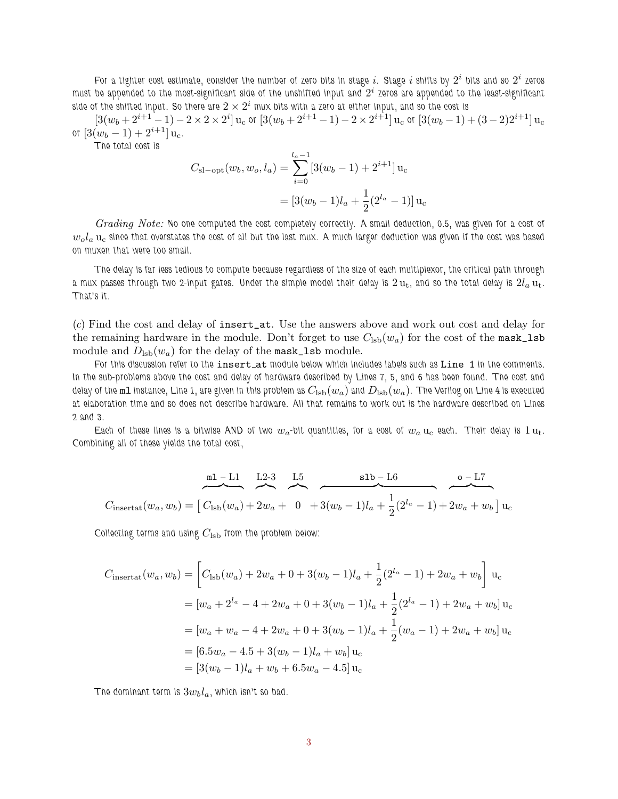For a tighter cost estimate, consider the number of zero bits in stage  $i.$  Stage  $i$  shifts by  $2^i$  bits and so  $2^i$  zeros must be appended to the most-significant side of the unshifted input and  $2^i$  zeros are appended to the least-significant side of the shifted input. So there are  $2\times 2^i$  mux bits with a zero at either input, and so the cost is

 $[3(w_b+2^{i+1}-1)-2\times2\times2^i]$  u<sub>c</sub> or  $[3(w_b+2^{i+1}-1)-2\times2^{i+1}]$  u<sub>c</sub> or  $[3(w_b-1)+(3-2)2^{i+1}]$  u<sub>c</sub> or  $[3(w_b - 1) + 2^{i+1}]$  u<sub>c</sub>.

The total cost is

$$
C_{\rm sl-opt}(w_b, w_o, l_a) = \sum_{i=0}^{l_a - 1} [3(w_b - 1) + 2^{i+1}] u_c
$$
  
= 
$$
[3(w_b - 1)l_a + \frac{1}{2}(2^{l_a} - 1)] u_c
$$

Grading Note: No one computed the cost completely correctly. A small deduction, 0.5, was given for a cost of  $w_ola$  u<sub>c</sub> since that overstates the cost of all but the last mux. A much larger deduction was given if the cost was based on muxen that were too small.

The delay is far less tedious to compute because regardless of the size of each multiplexor, the critical path through a mux passes through two 2-input gates. Under the simple model their delay is  $2\,\rm{u_{t}}$ , and so the total delay is  $2l_a\,\rm{u_{t}}$ . That's it.

(c) Find the cost and delay of insert\_at. Use the answers above and work out cost and delay for the remaining hardware in the module. Don't forget to use  $C_{\text{lsb}}(w_a)$  for the cost of the mask\_lsb module and  $D_{\rm lab}(w_a)$  for the delay of the mask\_lsb module.

For this discussion refer to the insert\_at module below which includes labels such as Line 1 in the comments. In the sub-problems above the cost and delay of hardware described by Lines 7, 5, and 6 has been found. The cost and delay of the m1 instance, Line 1, are given in this problem as  $C_{\rm{lsb}}(w_a)$  and  $D_{\rm{lsb}}(w_a)$ . The Verilog on Line 4 is executed at elaboration time and so does not describe hardware. All that remains to work out is the hardware described on Lines 2 and 3.

Each of these lines is a bitwise AND of two  $w_a$ -bit quantities, for a cost of  $w_a$  u<sub>c</sub> each. Their delay is 1 u<sub>t</sub>. Combining all of these yields the total cost,

$$
C_{\text{insertat}}(w_a, w_b) = \begin{bmatrix} C_{\text{lsb}}(w_a) + 2w_a + 0 + 3(w_b - 1)l_a + \frac{1}{2}(2^{l_a} - 1) + 2w_a + w_b \end{bmatrix} u_c
$$

Collecting terms and using  $C_{\rm{lsb}}$  from the problem below:

$$
C_{\text{insertat}}(w_a, w_b) = \left[ C_{\text{lsb}}(w_a) + 2w_a + 0 + 3(w_b - 1)l_a + \frac{1}{2}(2^{l_a} - 1) + 2w_a + w_b \right] u_c
$$
  

$$
= [w_a + 2^{l_a} - 4 + 2w_a + 0 + 3(w_b - 1)l_a + \frac{1}{2}(2^{l_a} - 1) + 2w_a + w_b] u_c
$$
  

$$
= [w_a + w_a - 4 + 2w_a + 0 + 3(w_b - 1)l_a + \frac{1}{2}(w_a - 1) + 2w_a + w_b] u_c
$$
  

$$
= [6.5w_a - 4.5 + 3(w_b - 1)l_a + w_b] u_c
$$
  

$$
= [3(w_b - 1)l_a + w_b + 6.5w_a - 4.5] u_c
$$

The dominant term is  $3w_b l_a$ , which isn't so bad.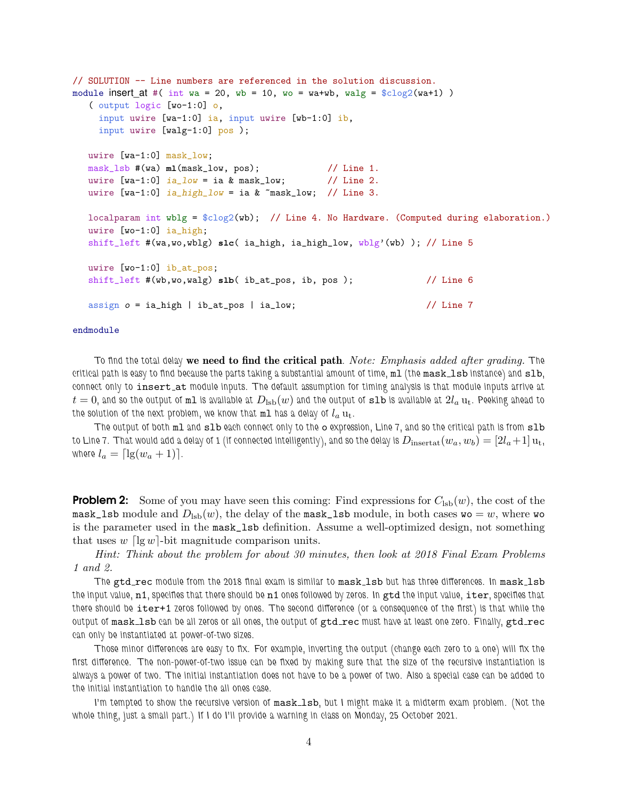```
// SOLUTION -- Line numbers are referenced in the solution discussion.
module insert_at #( int wa = 20, wb = 10, wo = wa+wb, walg = clog2(wa+1))
   ( output logic [wo-1:0] o,
    input uwire [wa-1:0] ia, input uwire [wb-1:0] ib,
    input uwire [walg-1:0] pos );
  uwire [wa-1:0] mask_low;
  mask_lsb #(wa) ml(mask_low, pos); // Line 1.
  uwire [wa-1:0] ia_low = ia & mask_low; // Line 2.
  uwire [wa-1:0] ia_high_low = ia & \text{``mask\_low''} // Line 3.
  localparam int wblg = \frac{C}{2}(wb); // Line 4. No Hardware. (Computed during elaboration.)
  uwire [wo-1:0] ia_high;
  shift_left #(wa,wo,wblg) slc( ia_high, ia_high_low, wblg'(wb) ); // Line 5
  uwire [wo-1:0] ib_at_pos;
  shift_left #(wb,wo,walg) slb( ib_at_pos, ib, pos ); // Line 6
  assign o = ia_high | ib_at_pos | ia_low; // Line 7
```
## endmodule

To find the total delay we need to find the critical path. Note: Emphasis added after grading. The critical path is easy to find because the parts taking a substantial amount of time,  $m1$  (the  $mask\_lsb$  instance) and  $slb$ , connect only to insert at module inputs. The default assumption for timing analysis is that module inputs arrive at  $t=0$ , and so the output of ml is available at  $D_{\rm{lsb}}(w)$  and the output of slb is available at  $2l_a$   $\mathbf{u}_t$ . Peeking ahead to the solution of the next problem, we know that  $m_1$  has a delay of  $l_a u_t$ .

The output of both ml and slb each connect only to the o expression, Line 7, and so the critical path is from slb to Line 7. That would add a delay of 1 (if connected intelligently), and so the delay is  $D_{\rm insertat}(w_a, w_b) = [2l_a+1]u_t$ , where  $l_a = \lceil \lg(w_a + 1) \rceil$ .

**Problem 2:** Some of you may have seen this coming: Find expressions for  $C_{\text{lsb}}(w)$ , the cost of the mask\_lsb module and  $D_{\text{lsb}}(w)$ , the delay of the mask\_lsb module, in both cases wo = w, where wo is the parameter used in the mask\_lsb definition. Assume a well-optimized design, not something that uses  $w \log w$ -bit magnitude comparison units.

Hint: Think about the problem for about 30 minutes, then look at 2018 Final Exam Problems 1 and 2.

The gtd\_rec module from the 2018 final exam is similar to mask\_1sb but has three differences. In mask\_1sb the input value, n1, specifies that there should be n1 ones followed by zeros. In gtd the input value, iter, specifies that there should be iter+1 zeros followed by ones. The second difference (or a consequence of the first) is that while the output of mask\_1sb can be all zeros or all ones, the output of gtd\_rec must have at least one zero. Finally, gtd\_rec can only be instantiated at power-of-two sizes.

Those minor differences are easy to fix. For example, inverting the output (change each zero to a one) will fix the first difference. The non-power-of-two issue can be fixed by making sure that the size of the recursive instantiation is always a power of two. The initial instantiation does not have to be a power of two. Also a special case can be added to the initial instantiation to handle the all ones case.

I'm tempted to show the recursive version of mask\_1sb, but I might make it a midterm exam problem. (Not the whole thing, just a small part.) If I do I'll provide a warning in class on Monday, 25 October 2021.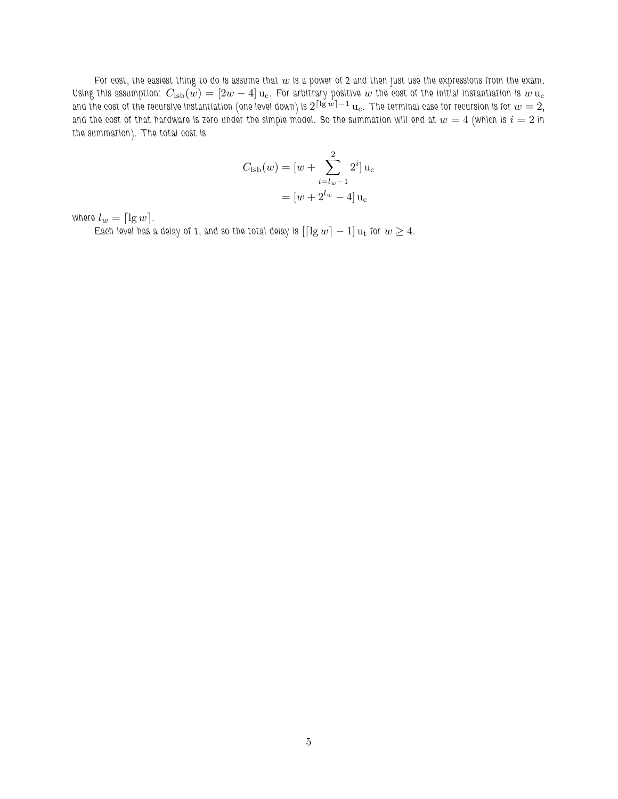For cost, the easiest thing to do is assume that  $w$  is a power of 2 and then just use the expressions from the exam. Using this assumption:  $C_{\rm{lsb}}(w) = [2w - 4]u_c$ . For arbitrary positive w the cost of the initial instantiation is  $w u_c$ and the cost of the recursive instantiation (one level down) is  $2^{\lceil\lg w\rceil-1}\,\mathrm{u}_\mathrm{c}$ . The terminal case for recursion is for  $w=2,$ and the cost of that hardware is zero under the simple model. So the summation will end at  $w=4$  (which is  $i=2$  in the summation). The total cost is

$$
C_{\text{lsb}}(w) = [w + \sum_{i=l_w-1}^{2} 2^i] u_c
$$

$$
= [w + 2^{l_w} - 4] u_c
$$

where  $l_w = \lceil \lg w \rceil$ .

Each level has a delay of 1, and so the total delay is  $\left[\lceil\lg w\rceil - 1\right]u_t$  for  $w \geq 4$ .